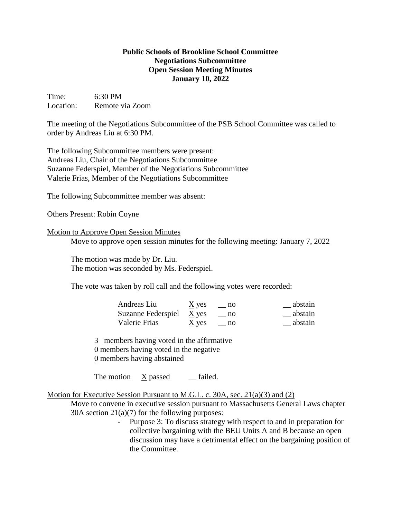## **Public Schools of Brookline School Committee Negotiations Subcommittee Open Session Meeting Minutes January 10, 2022**

Time: 6:30 PM Location: Remote via Zoom

The meeting of the Negotiations Subcommittee of the PSB School Committee was called to order by Andreas Liu at 6:30 PM.

The following Subcommittee members were present: Andreas Liu, Chair of the Negotiations Subcommittee Suzanne Federspiel, Member of the Negotiations Subcommittee Valerie Frias, Member of the Negotiations Subcommittee

The following Subcommittee member was absent:

Others Present: Robin Coyne

## Motion to Approve Open Session Minutes

Move to approve open session minutes for the following meeting: January 7, 2022

The motion was made by Dr. Liu. The motion was seconded by Ms. Federspiel.

The vote was taken by roll call and the following votes were recorded:

| Andreas Liu                | $\underline{X}$ yes | $\equiv$ no | abstain |
|----------------------------|---------------------|-------------|---------|
| Suzanne Federspiel $X$ yes |                     | no no       | abstain |
| Valerie Frias              | $\underline{X}$ yes | no          | abstain |

3 members having voted in the affirmative 0 members having voted in the negative

0 members having abstained

The motion  $\bar{X}$  passed \_\_ failed.

Motion for Executive Session Pursuant to M.G.L. c. 30A, sec. 21(a)(3) and (2)

Move to convene in executive session pursuant to Massachusetts General Laws chapter 30A section 21(a)(7) for the following purposes:

> - Purpose 3: To discuss strategy with respect to and in preparation for collective bargaining with the BEU Units A and B because an open discussion may have a detrimental effect on the bargaining position of the Committee.